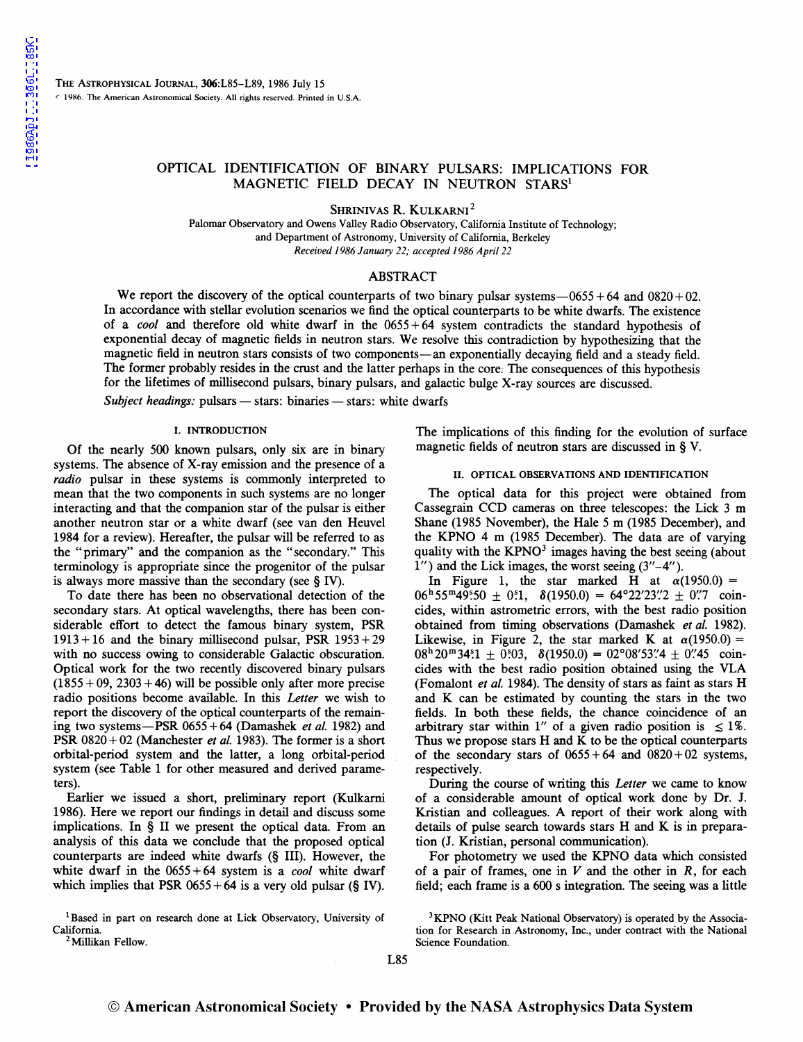### OPTICAL IDENTIFICATION OF BINARY PULSARS: IMPLICATIONS FOR MAGNETIC FIELD DECAY IN NEUTRON STARS<sup>1</sup>

SHRINIVAS R. KULKARNI<sup>2</sup>

Palomar Observatory and Owens Valley Radio Observatory, California Institute of Technology; and Department of Astronomy, University of California, Berkeley *Received 1986January 22; accepted 1986 Apri/22* 

### ABSTRACT

We report the discovery of the optical counterparts of two binary pulsar systems- $-0655+64$  and  $0820+02$ . In accordance with stellar evolution scenarios we find the optical counterparts to be white dwarfs. The existence of a *cool* and therefore old white dwarf in the 0655 + 64 system contradicts the standard hypothesis of exponential decay of magnetic fields in neutron stars. We resolve this contradiction by hypothesizing that the magnetic field in neutron stars consists of two components-an exponentially decaying field and a steady field. The former probably resides in the crust and the latter perhaps in the core: The consequences of this hypothesis for the lifetimes of millisecond pulsars, binary pulsars, and galactic bulge X-ray sources are discussed.

*Subject headings:* pulsars — stars: binaries — stars: white dwarfs

#### I. INTRODUCTION

Of the nearly 500 known pulsars, only six are in binary systems. The absence of X-ray emission and the presence of a *radio* pulsar in these systems is commonly interpreted to mean that the two components in such systems are no longer interacting and that the companion star of the pulsar is either another neutron star or a white dwarf (see van den Heuvel 1984 for a review). Hereafter, the pulsar will be referred to as the "primary" and the companion as the "secondary." This terminology is appropriate since the progenitor of the pulsar is always more massive than the secondary (see  $\S$  IV).

To date there has been no observational detection of the secondary stars. At optical wavelengths, there has been considerable effort to detect the famous binary system, PSR  $1913 + 16$  and the binary millisecond pulsar, PSR  $1953 + 29$ with no success owing to considerable Galactic obscuration. Optical work for the two recently discovered binary pulsars  $(1855 + 09, 2303 + 46)$  will be possible only after more precise radio positions become available. In this *Letter* we wish to report the discovery of the optical counterparts of the remaining two systems-PSR 0655 +64 (Damashek *et al.* 1982) and PSR 0820+02 (Manchester *et al.* 1983). The former is a short orbital-period system and the latter, a long orbital-period system (see Table 1 for other measured and derived parameters).

Earlier we issued a short, preliminary report (Kulkarni 1986). Here we report our findings in detail and discuss some implications. In  $\bar{\S}$  II we present the optical data. From an analysis of this data we conclude that the proposed optical counterparts are indeed white dwarfs (§ Ill). However, the white dwarf in the 0655 + 64 system is a *cool* white dwarf which implies that PSR  $0655 + 64$  is a very old pulsar (§ IV).

<sup>1</sup>Based in part on research done at Lick Observatory, University of California.<br><sup>2</sup> Millikan Fellow.

The implications of this finding for the evolution of surface magnetic fields of neutron stars are discussed in § V.

### II. OPTICAL OBSERVATIONS AND IDENTIFICATION

The optical data for this project were obtained from Cassegrain CCD cameras on three telescopes: the Lick 3 m Shane (1985 November), the Hale 5 m (1985 December), and the KPNO 4 m (1985 December). The data are of varying quality with the  $KPNO<sup>3</sup>$  images having the best seeing (about  $1''$ ) and the Lick images, the worst seeing  $(3''-4'')$ .

In Figure 1, the star marked H at  $\alpha(1950.0) =$  $06^{\text{h}}55^{\text{m}}49^{\text{s}}50 \pm 0.1$ ,  $\delta(1950.0) = 64^{\circ}22'23''2 \pm 0''7$  coincides, within astrometric errors, with the best radio position obtained from timing observations (Damashek *et al.* 1982). Likewise, in Figure 2, the star marked K at  $\alpha(1950.0) =$  $08<sup>h</sup> 20<sup>m</sup> 34<sup>s</sup>1 \pm 0<sup>s</sup>03$ ,  $\delta(1950.0) = 02<sup>o</sup>08'53''4 \pm 0''45$  coincides with the best radio position obtained using the VLA (Fomalont *et al.* 1984). The density of stars as faint as stars H and K can be estimated by counting the stars in the two fields. In both these fields, the chance coincidence of an arbitrary star within 1" of a given radio position is  $\leq 1\%$ . Thus we propose stars H and K to be the optical counterparts of the secondary stars of  $0655 + 64$  and  $0820 + 02$  systems, respectively.

During the course of writing this *Letter* we came to know of a considerable amount of optical work done by Dr. J. Kristian and colleagues. A report of their work along with details of pulse search towards stars H and K is in preparation (J. Kristian, personal communication).

For photometry we used the KPNO data which consisted of a pair of frames, one in  $V$  and the other in  $R$ , for each field; each frame is a 600 s integration. The seeing was a little

<sup>&</sup>lt;sup>3</sup>KPNO (Kitt Peak National Observatory) is operated by the Association for Research in Astronomy, Inc., under contract with the National Science Foundation.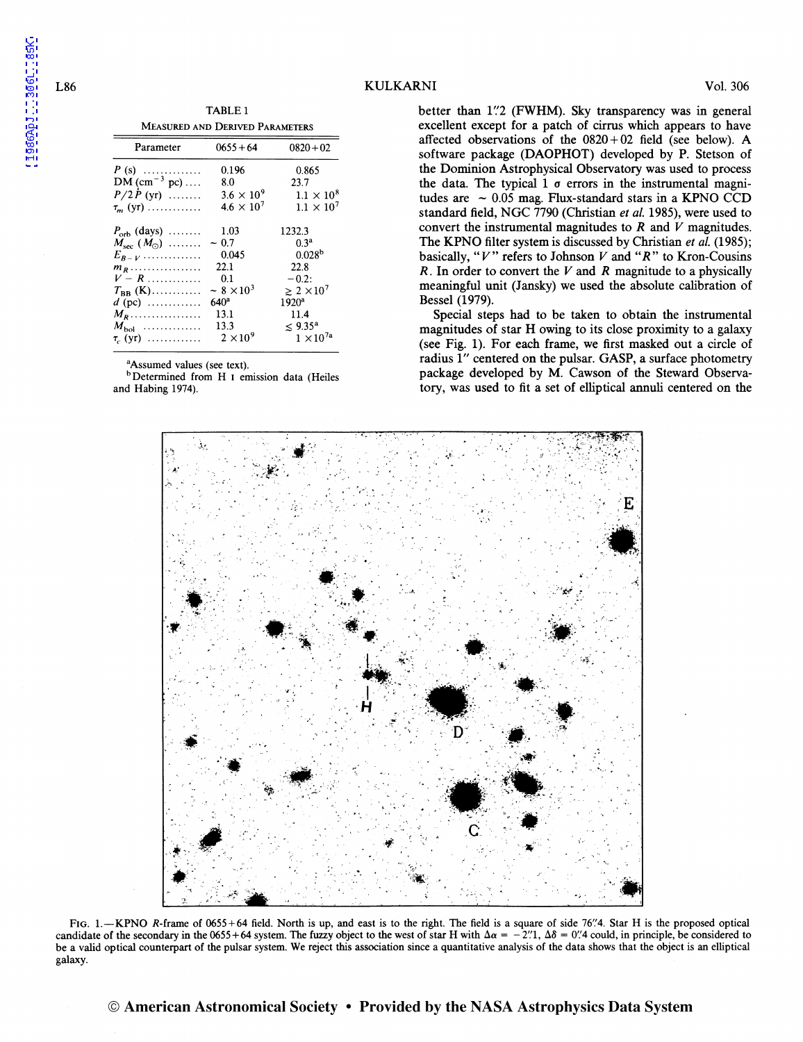TABLE 1 MEASURED AND DERIVED PARAMETERS

| Parameter                    | $0655 + 64$          | $0820 + 02$          |
|------------------------------|----------------------|----------------------|
| $P(s)$                       | 0.196                | 0.865                |
| $DM (cm^{-3} pc) \dots$      | 8.0                  | 23.7                 |
| $P/2 \dot{P}$ (yr)           | $3.6 \times 10^9$    | $1.1 \times 10^{8}$  |
| $\tau_{\rm m}$ (yr)          | $4.6 \times 10^7$    | $1.1 \times 10^{7}$  |
| $P_{\text{orb}}$ (days)      | 1.03                 | 1232.3               |
| $M_{\rm sec}$ $(M_{\odot})$  | $-0.7$               | 0 <sup>3a</sup>      |
| $E_{B-V}$                    | 0.045                | 0.028 <sup>b</sup>   |
| $m_R$                        | 22.1                 | 22.8                 |
| $V - R$                      | 0.1                  | $-0.2$ :             |
| $T_{\rm BB}$ (K)             | $\sim 8 \times 10^3$ | $\geq 2 \times 10^7$ |
| $d$ (pc) $\dots \dots \dots$ | $640^a$              | 1920 <sup>a</sup>    |
| $M_R$                        | 13.1                 | 11.4                 |
| $M_{\rm bol}$                | 13.3                 | $\leq 9.35^{\circ}$  |
| $\tau_c$ (yr)                | $2 \times 10^9$      | $1 \times 10^{7a}$   |

<sup>a</sup>Assumed values (see text).

<sup>b</sup>Determined from H<sub>I</sub> emission data (Heiles and Habing 1974).

better than 1"2 (FWHM). Sky transparency was in general excellent except for a patch of cirrus which appears to have affected observations of the  $0820 + 02$  field (see below). A software package (DAOPHOT) developed by P. Stetson of the Dominion Astrophysical Observatory was used to process the data. The typical 1  $\sigma$  errors in the instrumental magnitudes are  $\sim 0.05$  mag. Flux-standard stars in a KPNO CCD standard field, NGC 7790 (Christian et al. 1985), were used to convert the instrumental magnitudes to  $R$  and  $V$  magnitudes. The KPNO filter system is discussed by Christian et al. (1985); basically, " $V$ " refers to Johnson  $V$  and " $R$ " to Kron-Cousins  $R$ . In order to convert the  $V$  and  $R$  magnitude to a physically meaningful unit (Jansky) we used the absolute calibration of Bessel (1979).

Special steps had to be taken to obtain the instrumental magnitudes of star H owing to its close proximity to a galaxy (see Fig. 1). For each frame, we first masked out a circle of radius 1" centered on the pulsar. GASP, a surface photometry package developed by M. Cawson of the Steward Observatory, was used to fit a set of elliptical annuli centered on the



FIG. 1.-KPNO R-frame of 0655+64 field. North is up, and east is to the right. The field is a square of side 76".4. Star H is the proposed optical candidate of the secondary in the 0655+64 system. The fuzzy object to the west of star H with  $\Delta \alpha = -2$ .  $\Delta \delta = 0$ .  $4$  could, in principle, be considered to be a valid optical counterpart of the pulsar system. We reject this association since a quantitative analysis of the data shows that the object is an elliptical galaxy.

L86

1986ApJ...306L..85K

© American Astronomical Society • Provided by the NASA Astrophysics Data System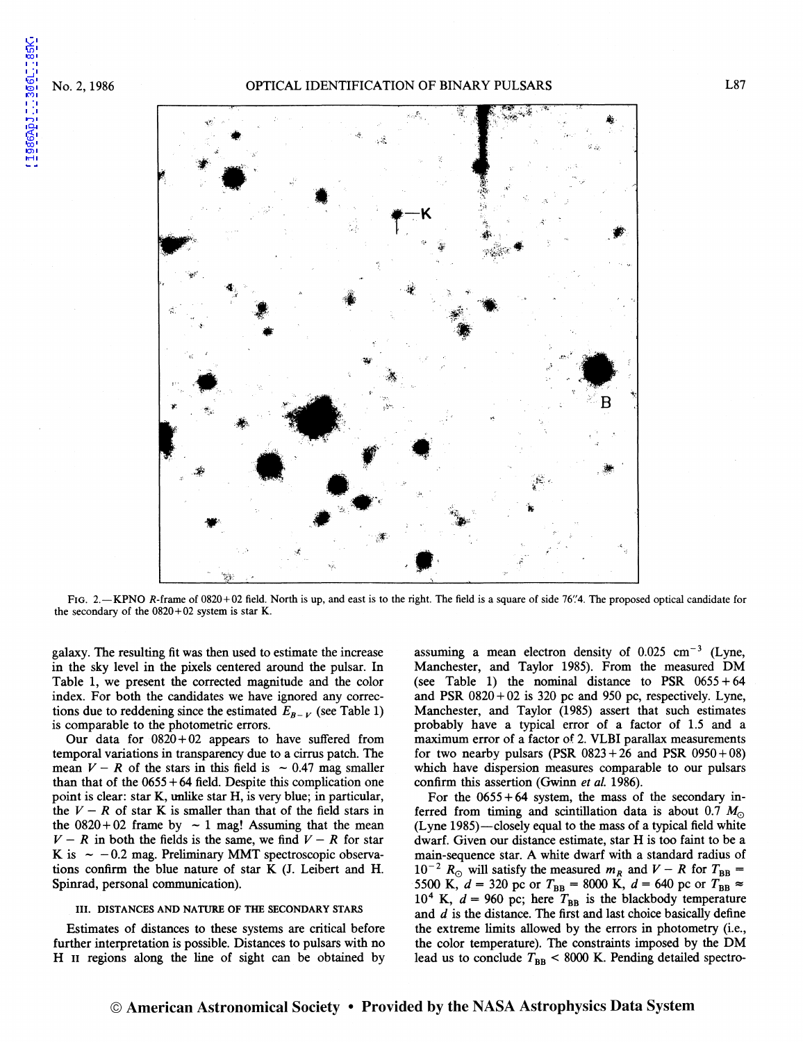[1986ApJ...306L..85K](http://adsabs.harvard.edu/abs/1986ApJ...306L..85K)

1986ApJ...306L..85K



FIG. 2.-KPNO R-frame of 0820+02 field. North is up, and east is to the right. The field is a square of side 76".4. The proposed optical candidate for the secondary of the  $0820+02$  system is star K.

galaxy. The resulting fit was then used to estimate the increase in the sky level in the pixels centered around the pulsar. In Table 1, we present the corrected magnitude and the color index. For both the candidates we have ignored any corrections due to reddening since the estimated  $E_{B-V}$  (see Table 1) is comparable to the photometric errors.

Our data for  $0820 + 02$  appears to have suffered from temporal variations in transparency due to a cirrus patch. The mean  $V-R$  of the stars in this field is  $\sim 0.47$  mag smaller than that of the  $0655 + 64$  field. Despite this complication one point is clear: star K, unlike star H, is very blue; in particular, the  $V - R$  of star K is smaller than that of the field stars in the  $0820 + 02$  frame by  $\sim 1$  mag! Assuming that the mean  $V - R$  in both the fields is the same, we find  $V - R$  for star K is  $\sim -0.2$  mag. Preliminary MMT spectroscopic observations confirm the blue nature of star K (J. Leibert and H. Spinrad, personal communication).

#### III. DISTANCES AND NATURE OF THE SECONDARY STARS

Estimates of distances to these systems are critical before further interpretation is possible. Distances to pulsars with no H n regions along the line of sight can be obtained by assuming a mean electron density of  $0.025 \text{ cm}^{-3}$  (Lyne, Manchester, and Taylor 1985). From the measured DM (see Table 1) the nominal distance to PSR  $0655 + 64$ and PSR  $0820 + 02$  is 320 pc and 950 pc, respectively. Lyne, Manchester, and Taylor (1985) assert that such estimates probably have a typical error of a factor of 1.5 and a maximum error of a factor of 2. VLBI parallax measurements for two nearby pulsars (PSR  $0823 + 26$  and PSR  $0950 + 08$ ) which have dispersion measures comparable to our pulsars confirm this assertion (Gwinn *et al.* 1986).

For the  $0655 + 64$  system, the mass of the secondary inferred from timing and scintillation data is about  $0.7 M_{\odot}$ (Lyne 1985)—closely equal to the mass of a typical field white dwarf. Given our distance estimate, star H is too faint to be a main-sequence star. A white dwarf with a standard radius of  $10^{-2}$   $R_{\odot}$  will satisfy the measured  $m_R$  and  $V-R$  for  $T_{\rm BB}$  = 5500 K,  $d = 320$  pc or  $T_{BB} = 8000$  K,  $d = 640$  pc or  $T_{BB} \approx$  $10^4$  K,  $d = 960$  pc; here  $T_{BB}$  is the blackbody temperature and *d* is the distance. The first and last choice basically define the extreme limits allowed by the errors in photometry (i.e., the color temperature). The constraints imposed by the DM lead us to conclude  $T_{\text{BB}}$  < 8000 K. Pending detailed spectro-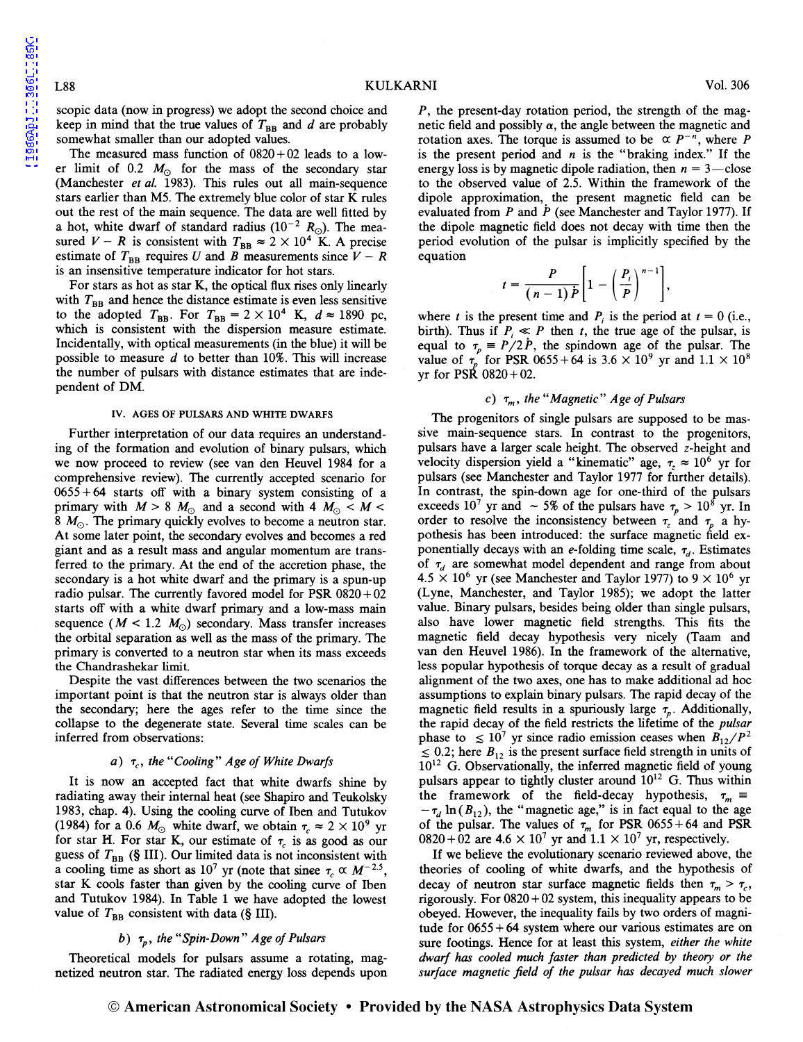scopic data (now in progress) we adopt the second choice and keep in mind that the true values of  $T_{BB}$  and d are probably somewhat smaller than our adopted values.

The measured mass function of  $0820 + 02$  leads to a lower limit of 0.2  $M_{\odot}$  for the mass of the secondary star (Manchester *et al.* 1983). This rules out all main-sequence stars earlier than MS. The extremely blue color of star K rules out the rest of the main sequence. The data are well fitted by a hot, white dwarf of standard radius  $(10^{-2} R_{\odot})$ . The measured  $V - R$  is consistent with  $T_{\rm BB} \approx 2 \times 10^{4}$  K. A precise estimate of  $T_{BB}$  requires U and B measurements since  $V - R$ is an insensitive temperature indicator for hot stars.

For stars as hot as star K, the optical flux rises only linearly with  $T_{BB}$  and hence the distance estimate is even less sensitive to the adopted  $T_{BB}$ . For  $T_{BB} = 2 \times 10^4$  K,  $d \approx 1890$  pc, which is consistent with the dispersion measure estimate. Incidentally, with optical measurements (in the blue) it will be possible to measure  $d$  to better than 10%. This will increase the number of pulsars with distance estimates that are independent of DM.

### IV. AGES OF PULSARS AND WHITE DWARFS

Further interpretation of our data requires an understanding of the formation and evolution of binary pulsars, which we now proceed to review (see van den Heuvel 1984 for a comprehensive review). The currently accepted scenario for  $0655 + 64$  starts off with a binary system consisting of a primary with  $M > 8$   $M_{\odot}$  and a second with 4  $M_{\odot} < M <$ 8  $M_{\odot}$ . The primary quickly evolves to become a neutron star. At some later point, the secondary evolves and becomes a red giant and as a result mass and angular momentum are transferred to the primary. At the end of the accretion phase, the secondary is a hot white dwarf and the primary is a spun-up radio pulsar. The currently favored model for PSR  $0820 + 02$ starts off with a white dwarf primary and a low-mass main sequence ( $M < 1.2$  M<sub>o</sub>) secondary. Mass transfer increases the orbital separation as well as the mass of the primary. The primary is converted to a neutron star when its mass exceeds the Chandrashekar limit.

Despite the vast differences between the two scenarios the important point is that the neutron star is always older than the secondary; here the ages refer to the time since the collapse to the degenerate state. Several time scales can be inferred from observations:

### a) *Tc, the "Cooling" Age of White Dwarfs*

It is now an accepted fact that white dwarfs shine by radiating away their internal heat (see Shapiro and Teukolsky 1983, chap. 4). Using the cooling curve of Then and Tutukov (1984) for a 0.6  $M_{\odot}$  white dwarf, we obtain  $\tau_c \approx 2 \times 10^9$  yr for star H. For star K, our estimate of  $\tau_c$  is as good as our guess of  $T_{BB}$  (§ III). Our limited data is not inconsistent with a cooling time as short as 10<sup>7</sup> yr (note that since  $\tau_c \propto M^{-2.5}$ , star K cools faster than given by the cooling curve of Then and Tutukov 1984). In Table 1 we have adopted the lowest value of  $T_{BB}$  consistent with data (§ III).

# b)  $\tau_p$ , the "Spin-Down" Age of Pulsars

Theoretical models for pulsars assume a rotating, magnetized neutron star. The radiated energy loss depends upon P, the present-day rotation period, the strength of the magnetic field and possibly  $\alpha$ , the angle between the magnetic and rotation axes. The torque is assumed to be  $\alpha P^{-n}$ , where *P* is the present period and *n* is the "braking index." If the energy loss is by magnetic dipole radiation, then  $n = 3$ —close to the observed value of 2.5. Within the framework of the dipole approximation, the present magnetic field can be evaluated from *P* and *P* (see Manchester and Taylor 1977). If the dipole magnetic field does not decay with time then the period evolution of the pulsar is implicitly specified by the equation

$$
t=\frac{P}{(n-1)\dot{P}}\bigg[1-\bigg(\frac{P_i}{P}\bigg)^{n-1}\bigg],
$$

where *t* is the present time and  $P_i$  is the period at  $t = 0$  (i.e., birth). Thus if  $P_i \ll P$  then *t*, the true age of the pulsar, is equal to  $\tau_p = P/2P$ , the spindown age of the pulsar. The value of  $\tau_p$  for PSR 0655 + 64 is 3.6  $\times$  10<sup>9</sup> yr and 1.1  $\times$  10<sup>8</sup> yr for PSR  $0820 + 02$ .

## c)  $\tau_m$ , the "Magnetic" Age of Pulsars

The progenitors of single pulsars are supposed to be massive main-sequence stars. In contrast to the progenitors, pulsars have a larger scale height. The observed z-height and velocity dispersion yield a "kinematic" age,  $\tau_z \approx 10^6$  yr for pulsars (see Manchester and Taylor 1977 for further details). In contrast, the spin-down age for one-third of the pulsars exceeds 10<sup>7</sup> yr and  $\sim$  5% of the pulsars have  $\tau_p > 10^8$  yr. In order to resolve the inconsistency between  $\tau_z$  and  $\tau_p$  a hypothesis has been introduced: the surface magnetic field exponentially decays with an e-folding time scale,  $\tau_d$ . Estimates of  $\tau_d$  are somewhat model dependent and range from about  $4.5 \times 10^6$  yr (see Manchester and Taylor 1977) to 9  $\times$  10<sup>6</sup> yr (Lyne, Manchester, and Taylor 1985); we adopt the latter value. Binary pulsars, besides being older than single pulsars, also have lower magnetic field strengths. This fits the magnetic field decay hypothesis very nicely (Taam and van den Heuvel 1986). In the framework of the alternative, less popular hypothesis of torque decay as a result of gradual alignment of the two axes, one has to make additional ad hoc assumptions to explain binary pulsars. The rapid decay of the magnetic field results in a spuriously large  $\tau_p$ . Additionally, the rapid decay of the field restricts the lifetime of the *pulsar*  phase to  $\leq 10^7$  yr since radio emission ceases when  $B_{12}/P^2$  $\leq 0.2$ ; here  $B_{12}$  is the present surface field strength in units of  $10^{12}$  G. Observationally, the inferred magnetic field of young pulsars appear to tightly cluster around  $10^{12}$  G. Thus within the framework of the field-decay hypothesis,  $\tau_m =$  $-\tau_d \ln(B_{12})$ , the "magnetic age," is in fact equal to the age of the pulsar. The values of  $\tau_m$  for PSR 0655 + 64 and PSR  $0820+02$  are  $4.6 \times 10^7$  yr and  $1.1 \times 10^7$  yr, respectively.

If we believe the evolutionary scenario reviewed above, the theories of cooling of white dwarfs, and the hypothesis of decay of neutron star surface magnetic fields then  $\tau_m > \tau_c$ , rigorously. For  $0820 + 02$  system, this inequality appears to be obeyed. However, the inequality fails by two orders of magnitude for 0655 + 64 system where our various estimates are on sure footings. Hence for at least this system, *either the white dwarf has cooled much faster than predicted by theory or the surface magnetic field of the pulsar has decayed much slower* 

© American Astronomical Society • Provided by the NASA Astrophysics Data System